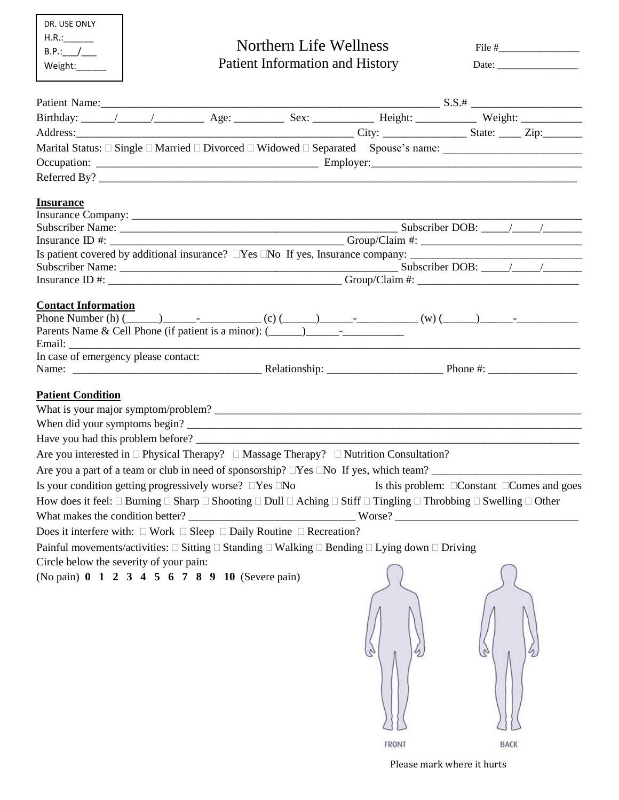| DR. USE ONLY |
|--------------|
| H.R.:        |
| B.P.:        |
| Weight:      |
|              |

# Northern Life Wellness File #

| Weight | Patient Information and History | Jate |
|--------|---------------------------------|------|
|--------|---------------------------------|------|

| Date: |  |  |
|-------|--|--|
|       |  |  |

|                            | Patient Name:                           |                                                                                          |                                                                                                                             |                                                                                                                                                                    |
|----------------------------|-----------------------------------------|------------------------------------------------------------------------------------------|-----------------------------------------------------------------------------------------------------------------------------|--------------------------------------------------------------------------------------------------------------------------------------------------------------------|
|                            |                                         |                                                                                          |                                                                                                                             |                                                                                                                                                                    |
|                            |                                         |                                                                                          |                                                                                                                             |                                                                                                                                                                    |
|                            |                                         |                                                                                          |                                                                                                                             |                                                                                                                                                                    |
|                            |                                         |                                                                                          |                                                                                                                             |                                                                                                                                                                    |
|                            |                                         |                                                                                          |                                                                                                                             | Referred By?                                                                                                                                                       |
| <b>Insurance</b>           |                                         |                                                                                          |                                                                                                                             |                                                                                                                                                                    |
|                            |                                         |                                                                                          |                                                                                                                             |                                                                                                                                                                    |
|                            |                                         |                                                                                          |                                                                                                                             |                                                                                                                                                                    |
|                            |                                         |                                                                                          |                                                                                                                             |                                                                                                                                                                    |
|                            |                                         |                                                                                          |                                                                                                                             |                                                                                                                                                                    |
|                            |                                         |                                                                                          |                                                                                                                             |                                                                                                                                                                    |
|                            |                                         |                                                                                          |                                                                                                                             |                                                                                                                                                                    |
| <b>Contact Information</b> |                                         |                                                                                          |                                                                                                                             |                                                                                                                                                                    |
|                            |                                         |                                                                                          |                                                                                                                             |                                                                                                                                                                    |
|                            |                                         | Parents Name & Cell Phone (if patient is a minor): (____________________________         |                                                                                                                             |                                                                                                                                                                    |
|                            | In case of emergency please contact:    |                                                                                          |                                                                                                                             |                                                                                                                                                                    |
|                            |                                         |                                                                                          |                                                                                                                             |                                                                                                                                                                    |
| <b>Patient Condition</b>   |                                         |                                                                                          |                                                                                                                             |                                                                                                                                                                    |
|                            |                                         |                                                                                          |                                                                                                                             |                                                                                                                                                                    |
|                            |                                         |                                                                                          |                                                                                                                             | When did your symptoms begin?                                                                                                                                      |
|                            |                                         |                                                                                          |                                                                                                                             |                                                                                                                                                                    |
|                            |                                         |                                                                                          | Are you interested in $\Box$ Physical Therapy? $\Box$ Massage Therapy? $\Box$ Nutrition Consultation?                       |                                                                                                                                                                    |
|                            |                                         |                                                                                          |                                                                                                                             | Are you a part of a team or club in need of sponsorship? $\Box$ Yes $\Box$ No If yes, which team?                                                                  |
|                            |                                         | Is your condition getting progressively worse? $\square$ Yes $\square$ No                |                                                                                                                             | Is this problem: $\Box$ Constant $\Box$ Comes and goes                                                                                                             |
|                            |                                         |                                                                                          |                                                                                                                             | How does it feel: $\Box$ Burning $\Box$ Sharp $\Box$ Shooting $\Box$ Dull $\Box$ Aching $\Box$ Stiff $\Box$ Tingling $\Box$ Throbbing $\Box$ Swelling $\Box$ Other |
|                            |                                         |                                                                                          |                                                                                                                             |                                                                                                                                                                    |
|                            |                                         | Does it interfere with: $\Box$ Work $\Box$ Sleep $\Box$ Daily Routine $\Box$ Recreation? |                                                                                                                             |                                                                                                                                                                    |
|                            |                                         |                                                                                          | Painful movements/activities: $\Box$ Sitting $\Box$ Standing $\Box$ Walking $\Box$ Bending $\Box$ Lying down $\Box$ Driving |                                                                                                                                                                    |
|                            |                                         |                                                                                          |                                                                                                                             |                                                                                                                                                                    |
|                            | Circle below the severity of your pain: | (No pain) 0 1 2 3 4 5 6 7 8 9 10 (Severe pain)                                           |                                                                                                                             |                                                                                                                                                                    |
|                            |                                         |                                                                                          |                                                                                                                             |                                                                                                                                                                    |
|                            |                                         |                                                                                          |                                                                                                                             |                                                                                                                                                                    |
|                            |                                         |                                                                                          |                                                                                                                             |                                                                                                                                                                    |
|                            |                                         |                                                                                          | FRONT                                                                                                                       | BACK                                                                                                                                                               |
|                            |                                         |                                                                                          |                                                                                                                             |                                                                                                                                                                    |

Please mark where it hurts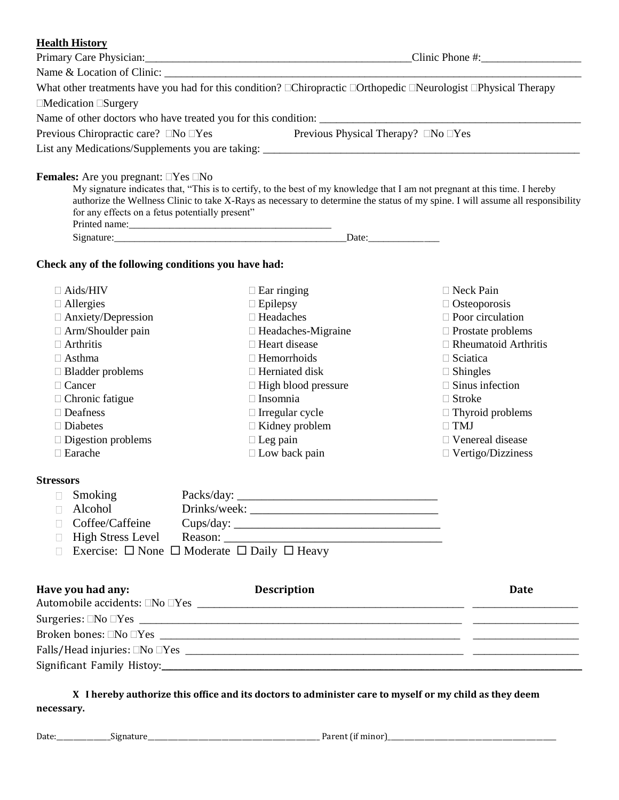#### **Health History**

| What other treatments have you had for this condition? □Chiropractic □Orthopedic □Neurologist □Physical Therapy<br>$\Box$ Medication $\Box$ Surgery<br>Previous Chiropractic care? □No □Yes<br><b>Females:</b> Are you pregnant: $\Box$ Yes $\Box$ No<br>for any effects on a fetus potentially present"<br>Check any of the following conditions you have had:<br>$\Box$ Aids/HIV<br>$\Box$ Allergies<br>$\Box$ Anxiety/Depression<br>$\Box$ Arm/Shoulder pain<br>$\Box$ Arthritis<br>$\Box$ Asthma<br>$\Box$ Bladder problems | Name & Location of Clinic:                                                                                                                                                                                                                                                                              |                                                                                                                                                                                                                                                                                                                |
|---------------------------------------------------------------------------------------------------------------------------------------------------------------------------------------------------------------------------------------------------------------------------------------------------------------------------------------------------------------------------------------------------------------------------------------------------------------------------------------------------------------------------------|---------------------------------------------------------------------------------------------------------------------------------------------------------------------------------------------------------------------------------------------------------------------------------------------------------|----------------------------------------------------------------------------------------------------------------------------------------------------------------------------------------------------------------------------------------------------------------------------------------------------------------|
|                                                                                                                                                                                                                                                                                                                                                                                                                                                                                                                                 |                                                                                                                                                                                                                                                                                                         |                                                                                                                                                                                                                                                                                                                |
|                                                                                                                                                                                                                                                                                                                                                                                                                                                                                                                                 |                                                                                                                                                                                                                                                                                                         |                                                                                                                                                                                                                                                                                                                |
|                                                                                                                                                                                                                                                                                                                                                                                                                                                                                                                                 |                                                                                                                                                                                                                                                                                                         |                                                                                                                                                                                                                                                                                                                |
|                                                                                                                                                                                                                                                                                                                                                                                                                                                                                                                                 |                                                                                                                                                                                                                                                                                                         |                                                                                                                                                                                                                                                                                                                |
|                                                                                                                                                                                                                                                                                                                                                                                                                                                                                                                                 |                                                                                                                                                                                                                                                                                                         |                                                                                                                                                                                                                                                                                                                |
|                                                                                                                                                                                                                                                                                                                                                                                                                                                                                                                                 | Previous Physical Therapy? $\Box$ No $\Box$ Yes                                                                                                                                                                                                                                                         |                                                                                                                                                                                                                                                                                                                |
|                                                                                                                                                                                                                                                                                                                                                                                                                                                                                                                                 |                                                                                                                                                                                                                                                                                                         |                                                                                                                                                                                                                                                                                                                |
|                                                                                                                                                                                                                                                                                                                                                                                                                                                                                                                                 | My signature indicates that, "This is to certify, to the best of my knowledge that I am not pregnant at this time. I hereby<br>authorize the Wellness Clinic to take X-Rays as necessary to determine the status of my spine. I will assume all responsibility                                          |                                                                                                                                                                                                                                                                                                                |
|                                                                                                                                                                                                                                                                                                                                                                                                                                                                                                                                 |                                                                                                                                                                                                                                                                                                         |                                                                                                                                                                                                                                                                                                                |
|                                                                                                                                                                                                                                                                                                                                                                                                                                                                                                                                 |                                                                                                                                                                                                                                                                                                         |                                                                                                                                                                                                                                                                                                                |
| $\Box$ Cancer<br>$\Box$ Chronic fatigue<br>$\Box$ Deafness<br>$\Box$ Diabetes<br>$\Box$ Digestion problems<br>$\Box$ Earache                                                                                                                                                                                                                                                                                                                                                                                                    | $\Box$ Ear ringing<br>$\Box$ Epilepsy<br>$\Box$ Headaches<br>$\Box$ Headaches-Migraine<br>□ Heart disease<br>$\Box$ Hemorrhoids<br>$\Box$ Herniated disk<br>$\Box$ High blood pressure<br>$\Box$ Insomnia<br>$\Box$ Irregular cycle<br>$\Box$ Kidney problem<br>$\Box$ Leg pain<br>$\Box$ Low back pain | $\Box$ Neck Pain<br>$\Box$ Osteoporosis<br>$\Box$ Poor circulation<br>$\Box$ Prostate problems<br>$\Box$ Rheumatoid Arthritis<br>$\Box$ Sciatica<br>$\Box$ Shingles<br>$\Box$ Sinus infection<br>$\Box$ Stroke<br>$\Box$ Thyroid problems<br>$\Box$ TMJ<br>$\Box$ Venereal disease<br>$\Box$ Vertigo/Dizziness |
|                                                                                                                                                                                                                                                                                                                                                                                                                                                                                                                                 |                                                                                                                                                                                                                                                                                                         |                                                                                                                                                                                                                                                                                                                |
| <b>Stressors</b><br>Smoking<br>Alcohol<br>Coffee/Caffeine<br><b>High Stress Level</b>                                                                                                                                                                                                                                                                                                                                                                                                                                           | Exercise: $\Box$ None $\Box$ Moderate $\Box$ Daily $\Box$ Heavy                                                                                                                                                                                                                                         |                                                                                                                                                                                                                                                                                                                |
| Have you had any:                                                                                                                                                                                                                                                                                                                                                                                                                                                                                                               | <b>Description</b>                                                                                                                                                                                                                                                                                      | <b>Date</b>                                                                                                                                                                                                                                                                                                    |
|                                                                                                                                                                                                                                                                                                                                                                                                                                                                                                                                 |                                                                                                                                                                                                                                                                                                         |                                                                                                                                                                                                                                                                                                                |
|                                                                                                                                                                                                                                                                                                                                                                                                                                                                                                                                 |                                                                                                                                                                                                                                                                                                         |                                                                                                                                                                                                                                                                                                                |
| Significant Family Histoy: Significant Family Histoy:                                                                                                                                                                                                                                                                                                                                                                                                                                                                           |                                                                                                                                                                                                                                                                                                         |                                                                                                                                                                                                                                                                                                                |

# **X I hereby authorize this office and its doctors to administer care to myself or my child as they deem necessary.**

Date:\_\_\_\_\_\_\_\_\_\_\_\_\_\_\_\_Signature\_\_\_\_\_\_\_\_\_\_\_\_\_\_\_\_\_\_\_\_\_\_\_\_\_\_\_\_\_\_\_\_\_\_\_\_\_\_\_\_\_\_\_\_\_\_\_\_\_\_\_ Parent (if minor)\_\_\_\_\_\_\_\_\_\_\_\_\_\_\_\_\_\_\_\_\_\_\_\_\_\_\_\_\_\_\_\_\_\_\_\_\_\_\_\_\_\_\_\_\_\_\_\_\_\_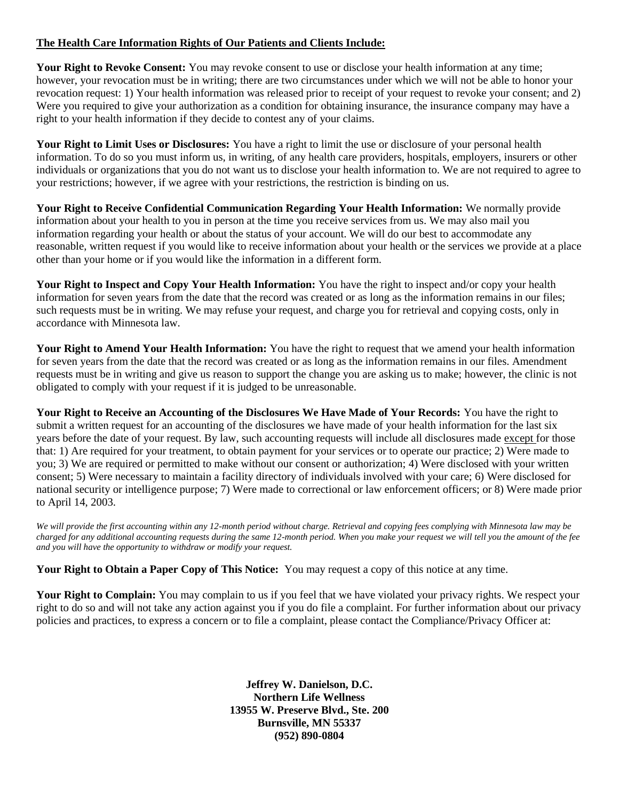#### **The Health Care Information Rights of Our Patients and Clients Include:**

**Your Right to Revoke Consent:** You may revoke consent to use or disclose your health information at any time; however, your revocation must be in writing; there are two circumstances under which we will not be able to honor your revocation request: 1) Your health information was released prior to receipt of your request to revoke your consent; and 2) Were you required to give your authorization as a condition for obtaining insurance, the insurance company may have a right to your health information if they decide to contest any of your claims.

**Your Right to Limit Uses or Disclosures:** You have a right to limit the use or disclosure of your personal health information. To do so you must inform us, in writing, of any health care providers, hospitals, employers, insurers or other individuals or organizations that you do not want us to disclose your health information to. We are not required to agree to your restrictions; however, if we agree with your restrictions, the restriction is binding on us.

**Your Right to Receive Confidential Communication Regarding Your Health Information:** We normally provide information about your health to you in person at the time you receive services from us. We may also mail you information regarding your health or about the status of your account. We will do our best to accommodate any reasonable, written request if you would like to receive information about your health or the services we provide at a place other than your home or if you would like the information in a different form.

**Your Right to Inspect and Copy Your Health Information:** You have the right to inspect and/or copy your health information for seven years from the date that the record was created or as long as the information remains in our files; such requests must be in writing. We may refuse your request, and charge you for retrieval and copying costs, only in accordance with Minnesota law.

**Your Right to Amend Your Health Information:** You have the right to request that we amend your health information for seven years from the date that the record was created or as long as the information remains in our files. Amendment requests must be in writing and give us reason to support the change you are asking us to make; however, the clinic is not obligated to comply with your request if it is judged to be unreasonable.

**Your Right to Receive an Accounting of the Disclosures We Have Made of Your Records:** You have the right to submit a written request for an accounting of the disclosures we have made of your health information for the last six years before the date of your request. By law, such accounting requests will include all disclosures made except for those that: 1) Are required for your treatment, to obtain payment for your services or to operate our practice; 2) Were made to you; 3) We are required or permitted to make without our consent or authorization; 4) Were disclosed with your written consent; 5) Were necessary to maintain a facility directory of individuals involved with your care; 6) Were disclosed for national security or intelligence purpose; 7) Were made to correctional or law enforcement officers; or 8) Were made prior to April 14, 2003.

*We will provide the first accounting within any 12-month period without charge. Retrieval and copying fees complying with Minnesota law may be charged for any additional accounting requests during the same 12-month period. When you make your request we will tell you the amount of the fee and you will have the opportunity to withdraw or modify your request.*

**Your Right to Obtain a Paper Copy of This Notice:** You may request a copy of this notice at any time.

Your Right to Complain: You may complain to us if you feel that we have violated your privacy rights. We respect your right to do so and will not take any action against you if you do file a complaint. For further information about our privacy policies and practices, to express a concern or to file a complaint, please contact the Compliance/Privacy Officer at:

> **Jeffrey W. Danielson, D.C. Northern Life Wellness 13955 W. Preserve Blvd., Ste. 200 Burnsville, MN 55337 (952) 890-0804**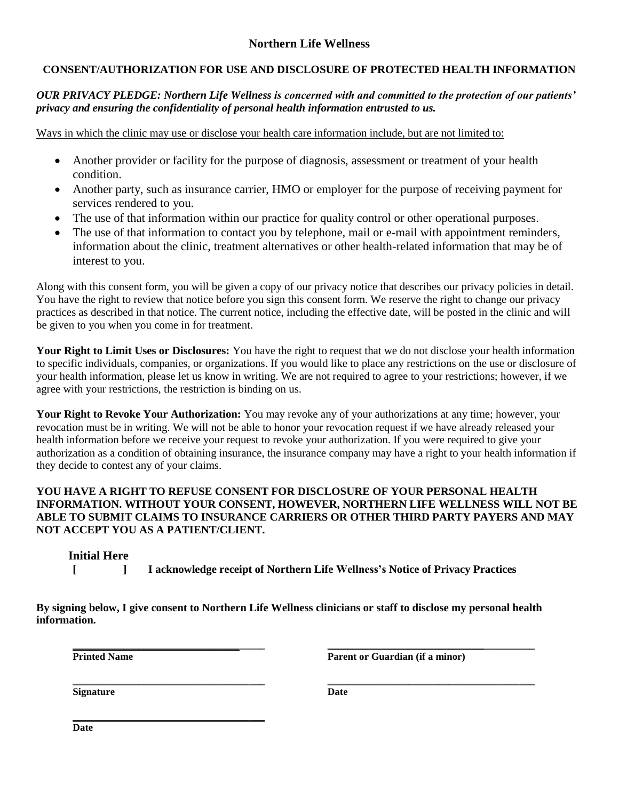# **Northern Life Wellness**

# **CONSENT/AUTHORIZATION FOR USE AND DISCLOSURE OF PROTECTED HEALTH INFORMATION**

#### *OUR PRIVACY PLEDGE: Northern Life Wellness is concerned with and committed to the protection of our patients' privacy and ensuring the confidentiality of personal health information entrusted to us.*

Ways in which the clinic may use or disclose your health care information include, but are not limited to:

- Another provider or facility for the purpose of diagnosis, assessment or treatment of your health condition.
- Another party, such as insurance carrier, HMO or employer for the purpose of receiving payment for services rendered to you.
- The use of that information within our practice for quality control or other operational purposes.
- The use of that information to contact you by telephone, mail or e-mail with appointment reminders, information about the clinic, treatment alternatives or other health-related information that may be of interest to you.

Along with this consent form, you will be given a copy of our privacy notice that describes our privacy policies in detail. You have the right to review that notice before you sign this consent form. We reserve the right to change our privacy practices as described in that notice. The current notice, including the effective date, will be posted in the clinic and will be given to you when you come in for treatment.

**Your Right to Limit Uses or Disclosures:** You have the right to request that we do not disclose your health information to specific individuals, companies, or organizations. If you would like to place any restrictions on the use or disclosure of your health information, please let us know in writing. We are not required to agree to your restrictions; however, if we agree with your restrictions, the restriction is binding on us.

**Your Right to Revoke Your Authorization:** You may revoke any of your authorizations at any time; however, your revocation must be in writing. We will not be able to honor your revocation request if we have already released your health information before we receive your request to revoke your authorization. If you were required to give your authorization as a condition of obtaining insurance, the insurance company may have a right to your health information if they decide to contest any of your claims.

#### **YOU HAVE A RIGHT TO REFUSE CONSENT FOR DISCLOSURE OF YOUR PERSONAL HEALTH INFORMATION. WITHOUT YOUR CONSENT, HOWEVER, NORTHERN LIFE WELLNESS WILL NOT BE ABLE TO SUBMIT CLAIMS TO INSURANCE CARRIERS OR OTHER THIRD PARTY PAYERS AND MAY NOT ACCEPT YOU AS A PATIENT/CLIENT.**

# **Initial Here**

**[ ] I acknowledge receipt of Northern Life Wellness's Notice of Privacy Practices**

**\_\_\_\_\_\_\_\_\_\_\_\_\_\_\_\_\_\_\_\_\_\_\_\_\_\_\_\_\_\_\_\_\_\_\_\_\_\_ \_\_\_\_\_\_\_\_\_\_\_\_\_\_\_\_\_\_\_\_\_\_\_\_\_\_\_\_\_\_\_\_\_\_\_\_\_\_\_\_\_**

**By signing below, I give consent to Northern Life Wellness clinicians or staff to disclose my personal health information.**

**\_\_\_\_\_\_\_\_\_\_\_\_\_\_\_\_\_\_\_\_\_\_\_\_\_\_\_\_\_\_\_\_\_\_\_\_\_\_**

**\_\_\_\_\_\_\_\_\_\_\_\_\_\_\_\_\_\_\_\_\_\_\_\_\_\_\_\_\_\_\_\_\_\_\_\_\_\_ \_\_\_\_\_\_\_\_\_\_\_\_\_\_\_\_\_\_\_\_\_\_\_\_\_\_\_\_\_\_\_**\_\_\_\_\_\_\_\_\_\_ **Printed Name Parent or Guardian (if a minor)** 

**Signature Date**

**Date**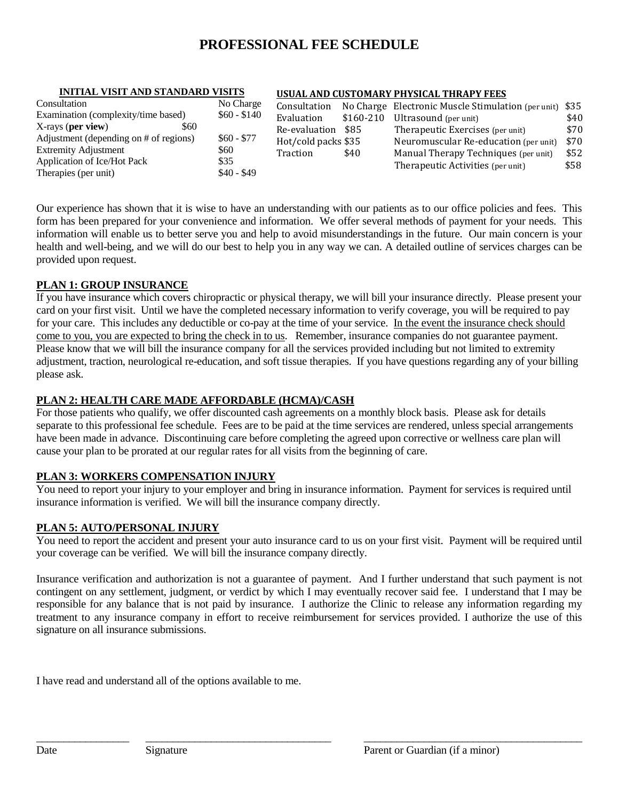# **PROFESSIONAL FEE SCHEDULE**

#### **INITIAL VISIT AND STANDARD VISITS**

#### **USUAL AND CUSTOMARY PHYSICAL THRAPY FEES**

| Consultation                           | No Charge    | Consultation        |            | No Charge Electronic Muscle Stimulation (per unit) \$35 |      |
|----------------------------------------|--------------|---------------------|------------|---------------------------------------------------------|------|
| Examination (complexity/time based)    | $$60 - $140$ | Evaluation          | $$160-210$ | Ultrasound (per unit)                                   | \$40 |
| X-rays (per view)<br>\$60              |              | Re-evaluation       | \$85       | Therapeutic Exercises (per unit)                        | \$70 |
| Adjustment (depending on # of regions) | $$60 - $77$  | Hot/cold packs \$35 |            | Neuromuscular Re-education (per unit)                   | \$70 |
| <b>Extremity Adjustment</b>            | \$60         | Traction            | \$40       | Manual Therapy Techniques (per unit)                    | \$52 |
| Application of Ice/Hot Pack            | \$35         |                     |            | Therapeutic Activities (per unit)                       | \$58 |
| Therapies (per unit)                   | $$40 - $49$  |                     |            |                                                         |      |

Our experience has shown that it is wise to have an understanding with our patients as to our office policies and fees. This form has been prepared for your convenience and information. We offer several methods of payment for your needs. This information will enable us to better serve you and help to avoid misunderstandings in the future. Our main concern is your health and well-being, and we will do our best to help you in any way we can. A detailed outline of services charges can be provided upon request.

#### **PLAN 1: GROUP INSURANCE**

If you have insurance which covers chiropractic or physical therapy, we will bill your insurance directly. Please present your card on your first visit. Until we have the completed necessary information to verify coverage, you will be required to pay for your care. This includes any deductible or co-pay at the time of your service. In the event the insurance check should come to you, you are expected to bring the check in to us. Remember, insurance companies do not guarantee payment. Please know that we will bill the insurance company for all the services provided including but not limited to extremity adjustment, traction, neurological re-education, and soft tissue therapies. If you have questions regarding any of your billing please ask.

## **PLAN 2: HEALTH CARE MADE AFFORDABLE (HCMA)/CASH**

For those patients who qualify, we offer discounted cash agreements on a monthly block basis. Please ask for details separate to this professional fee schedule. Fees are to be paid at the time services are rendered, unless special arrangements have been made in advance. Discontinuing care before completing the agreed upon corrective or wellness care plan will cause your plan to be prorated at our regular rates for all visits from the beginning of care.

#### **PLAN 3: WORKERS COMPENSATION INJURY**

You need to report your injury to your employer and bring in insurance information. Payment for services is required until insurance information is verified. We will bill the insurance company directly.

# **PLAN 5: AUTO/PERSONAL INJURY**

You need to report the accident and present your auto insurance card to us on your first visit. Payment will be required until your coverage can be verified. We will bill the insurance company directly.

Insurance verification and authorization is not a guarantee of payment. And I further understand that such payment is not contingent on any settlement, judgment, or verdict by which I may eventually recover said fee. I understand that I may be responsible for any balance that is not paid by insurance. I authorize the Clinic to release any information regarding my treatment to any insurance company in effort to receive reimbursement for services provided. I authorize the use of this signature on all insurance submissions.

\_\_\_\_\_\_\_\_\_\_\_\_\_\_\_\_\_ \_\_\_\_\_\_\_\_\_\_\_\_\_\_\_\_\_\_\_\_\_\_\_\_\_\_\_\_\_\_\_\_\_\_ \_\_\_\_\_\_\_\_\_\_\_\_\_\_\_\_\_\_\_\_\_\_\_\_\_\_\_\_\_\_\_\_\_\_\_\_\_\_\_\_

I have read and understand all of the options available to me.